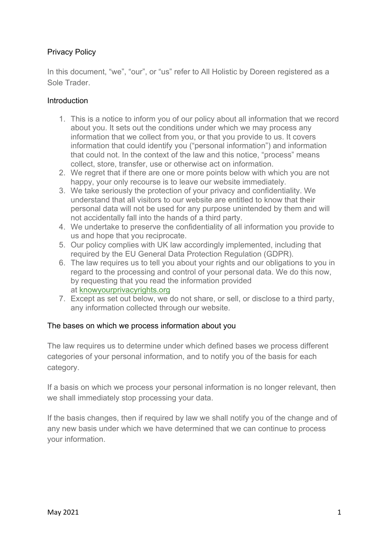# Privacy Policy

In this document, "we", "our", or "us" refer to All Holistic by Doreen registered as a Sole Trader.

#### **Introduction**

- 1. This is a notice to inform you of our policy about all information that we record about you. It sets out the conditions under which we may process any information that we collect from you, or that you provide to us. It covers information that could identify you ("personal information") and information that could not. In the context of the law and this notice, "process" means collect, store, transfer, use or otherwise act on information.
- 2. We regret that if there are one or more points below with which you are not happy, your only recourse is to leave our website immediately.
- 3. We take seriously the protection of your privacy and confidentiality. We understand that all visitors to our website are entitled to know that their personal data will not be used for any purpose unintended by them and will not accidentally fall into the hands of a third party.
- 4. We undertake to preserve the confidentiality of all information you provide to us and hope that you reciprocate.
- 5. Our policy complies with UK law accordingly implemented, including that required by the EU General Data Protection Regulation (GDPR).
- 6. The law requires us to tell you about your rights and our obligations to you in regard to the processing and control of your personal data. We do this now, by requesting that you read the information provided at knowyourprivacyrights.org
- 7. Except as set out below, we do not share, or sell, or disclose to a third party, any information collected through our website.

#### The bases on which we process information about you

The law requires us to determine under which defined bases we process different categories of your personal information, and to notify you of the basis for each category.

If a basis on which we process your personal information is no longer relevant, then we shall immediately stop processing your data.

If the basis changes, then if required by law we shall notify you of the change and of any new basis under which we have determined that we can continue to process your information.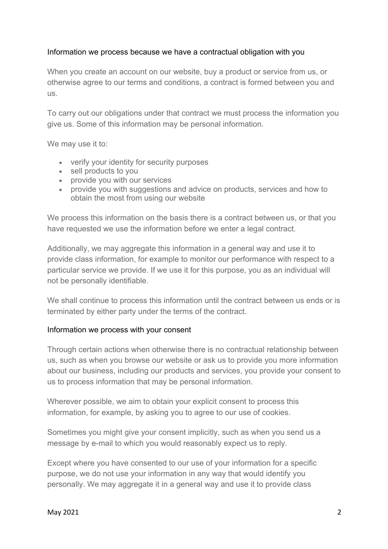#### Information we process because we have a contractual obligation with you

When you create an account on our website, buy a product or service from us, or otherwise agree to our terms and conditions, a contract is formed between you and us.

To carry out our obligations under that contract we must process the information you give us. Some of this information may be personal information.

We may use it to:

- verify your identity for security purposes
- sell products to you
- provide you with our services
- provide you with suggestions and advice on products, services and how to obtain the most from using our website

We process this information on the basis there is a contract between us, or that you have requested we use the information before we enter a legal contract.

Additionally, we may aggregate this information in a general way and use it to provide class information, for example to monitor our performance with respect to a particular service we provide. If we use it for this purpose, you as an individual will not be personally identifiable.

We shall continue to process this information until the contract between us ends or is terminated by either party under the terms of the contract.

#### Information we process with your consent

Through certain actions when otherwise there is no contractual relationship between us, such as when you browse our website or ask us to provide you more information about our business, including our products and services, you provide your consent to us to process information that may be personal information.

Wherever possible, we aim to obtain your explicit consent to process this information, for example, by asking you to agree to our use of cookies.

Sometimes you might give your consent implicitly, such as when you send us a message by e-mail to which you would reasonably expect us to reply.

Except where you have consented to our use of your information for a specific purpose, we do not use your information in any way that would identify you personally. We may aggregate it in a general way and use it to provide class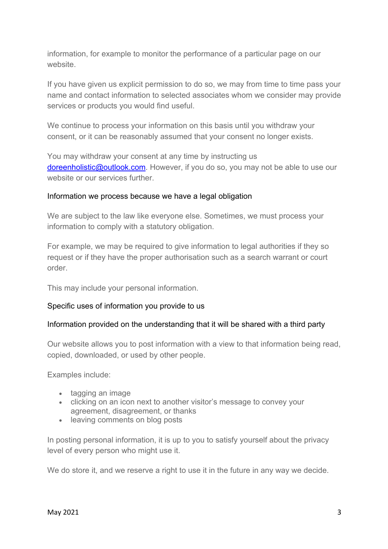information, for example to monitor the performance of a particular page on our website.

If you have given us explicit permission to do so, we may from time to time pass your name and contact information to selected associates whom we consider may provide services or products you would find useful.

We continue to process your information on this basis until you withdraw your consent, or it can be reasonably assumed that your consent no longer exists.

You may withdraw your consent at any time by instructing us doreenholistic@outlook.com. However, if you do so, you may not be able to use our website or our services further.

#### Information we process because we have a legal obligation

We are subject to the law like everyone else. Sometimes, we must process your information to comply with a statutory obligation.

For example, we may be required to give information to legal authorities if they so request or if they have the proper authorisation such as a search warrant or court order.

This may include your personal information.

### Specific uses of information you provide to us

#### Information provided on the understanding that it will be shared with a third party

Our website allows you to post information with a view to that information being read, copied, downloaded, or used by other people.

Examples include:

- tagging an image
- clicking on an icon next to another visitor's message to convey your agreement, disagreement, or thanks
- leaving comments on blog posts

In posting personal information, it is up to you to satisfy yourself about the privacy level of every person who might use it.

We do store it, and we reserve a right to use it in the future in any way we decide.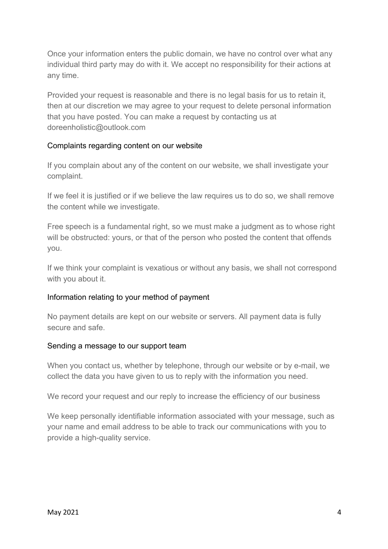Once your information enters the public domain, we have no control over what any individual third party may do with it. We accept no responsibility for their actions at any time.

Provided your request is reasonable and there is no legal basis for us to retain it, then at our discretion we may agree to your request to delete personal information that you have posted. You can make a request by contacting us at doreenholistic@outlook.com

# Complaints regarding content on our website

If you complain about any of the content on our website, we shall investigate your complaint.

If we feel it is justified or if we believe the law requires us to do so, we shall remove the content while we investigate.

Free speech is a fundamental right, so we must make a judgment as to whose right will be obstructed: yours, or that of the person who posted the content that offends you.

If we think your complaint is vexatious or without any basis, we shall not correspond with you about it.

### Information relating to your method of payment

No payment details are kept on our website or servers. All payment data is fully secure and safe.

### Sending a message to our support team

When you contact us, whether by telephone, through our website or by e-mail, we collect the data you have given to us to reply with the information you need.

We record your request and our reply to increase the efficiency of our business

We keep personally identifiable information associated with your message, such as your name and email address to be able to track our communications with you to provide a high-quality service.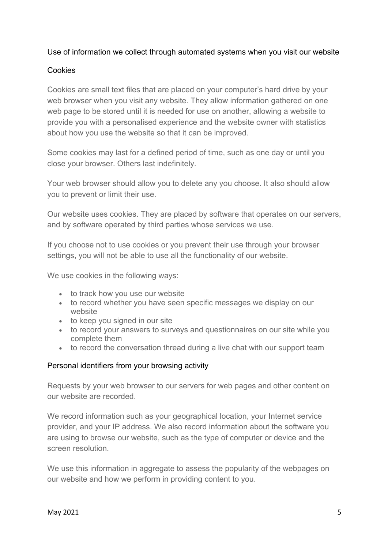### Use of information we collect through automated systems when you visit our website

# Cookies

Cookies are small text files that are placed on your computer's hard drive by your web browser when you visit any website. They allow information gathered on one web page to be stored until it is needed for use on another, allowing a website to provide you with a personalised experience and the website owner with statistics about how you use the website so that it can be improved.

Some cookies may last for a defined period of time, such as one day or until you close your browser. Others last indefinitely.

Your web browser should allow you to delete any you choose. It also should allow you to prevent or limit their use.

Our website uses cookies. They are placed by software that operates on our servers, and by software operated by third parties whose services we use.

If you choose not to use cookies or you prevent their use through your browser settings, you will not be able to use all the functionality of our website.

We use cookies in the following ways:

- to track how you use our website
- to record whether you have seen specific messages we display on our website
- to keep you signed in our site
- to record your answers to surveys and questionnaires on our site while you complete them
- to record the conversation thread during a live chat with our support team

### Personal identifiers from your browsing activity

Requests by your web browser to our servers for web pages and other content on our website are recorded.

We record information such as your geographical location, your Internet service provider, and your IP address. We also record information about the software you are using to browse our website, such as the type of computer or device and the screen resolution.

We use this information in aggregate to assess the popularity of the webpages on our website and how we perform in providing content to you.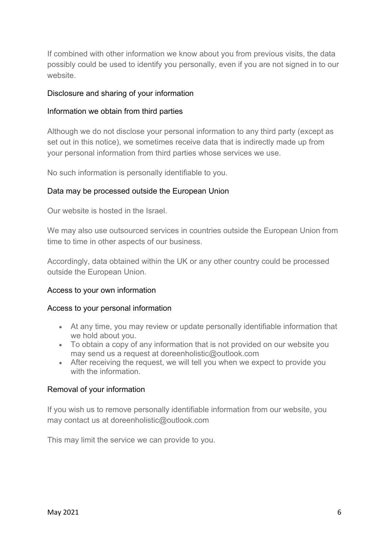If combined with other information we know about you from previous visits, the data possibly could be used to identify you personally, even if you are not signed in to our website.

### Disclosure and sharing of your information

#### Information we obtain from third parties

Although we do not disclose your personal information to any third party (except as set out in this notice), we sometimes receive data that is indirectly made up from your personal information from third parties whose services we use.

No such information is personally identifiable to you.

### Data may be processed outside the European Union

Our website is hosted in the Israel.

We may also use outsourced services in countries outside the European Union from time to time in other aspects of our business.

Accordingly, data obtained within the UK or any other country could be processed outside the European Union.

#### Access to your own information

#### Access to your personal information

- At any time, you may review or update personally identifiable information that we hold about you.
- To obtain a copy of any information that is not provided on our website you may send us a request at doreenholistic@outlook.com
- After receiving the request, we will tell you when we expect to provide you with the information.

#### Removal of your information

If you wish us to remove personally identifiable information from our website, you may contact us at doreenholistic@outlook.com

This may limit the service we can provide to you.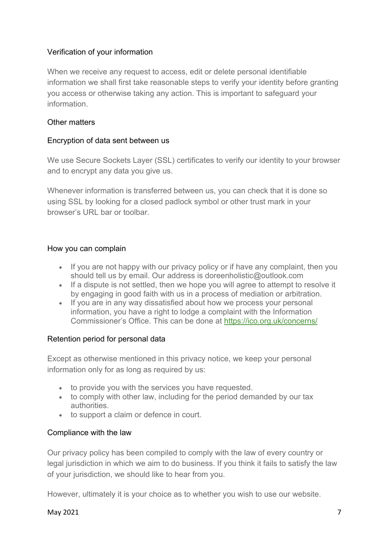# Verification of your information

When we receive any request to access, edit or delete personal identifiable information we shall first take reasonable steps to verify your identity before granting you access or otherwise taking any action. This is important to safeguard your information.

### Other matters

### Encryption of data sent between us

We use Secure Sockets Layer (SSL) certificates to verify our identity to your browser and to encrypt any data you give us.

Whenever information is transferred between us, you can check that it is done so using SSL by looking for a closed padlock symbol or other trust mark in your browser's URL bar or toolbar.

#### How you can complain

- If you are not happy with our privacy policy or if have any complaint, then you should tell us by email. Our address is doreenholistic@outlook.com
- If a dispute is not settled, then we hope you will agree to attempt to resolve it by engaging in good faith with us in a process of mediation or arbitration.
- If you are in any way dissatisfied about how we process your personal information, you have a right to lodge a complaint with the Information Commissioner's Office. This can be done at https://ico.org.uk/concerns/

### Retention period for personal data

Except as otherwise mentioned in this privacy notice, we keep your personal information only for as long as required by us:

- to provide you with the services you have requested.
- to comply with other law, including for the period demanded by our tax authorities.
- to support a claim or defence in court.

### Compliance with the law

Our privacy policy has been compiled to comply with the law of every country or legal jurisdiction in which we aim to do business. If you think it fails to satisfy the law of your jurisdiction, we should like to hear from you.

However, ultimately it is your choice as to whether you wish to use our website.